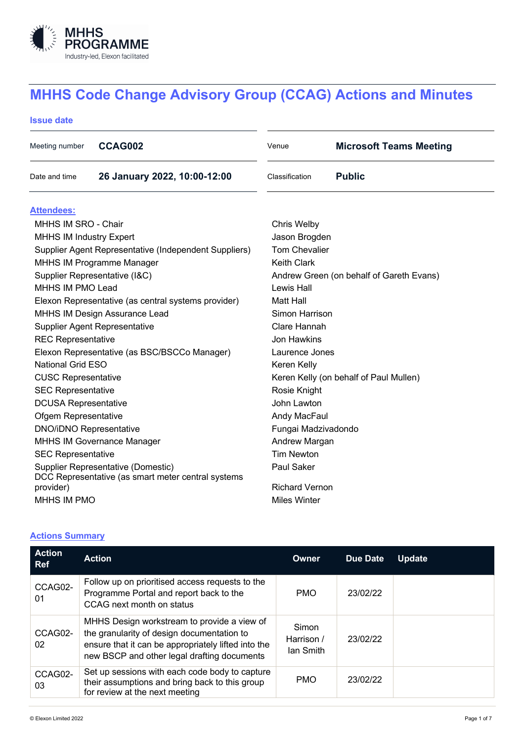

# **MHHS Code Change Advisory Group (CCAG) Actions and Minutes**

## **Issue date**

| Meeting number                                        | CCAG002                                            | Venue                                    | <b>Microsoft Teams Meeting</b> |  |  |  |
|-------------------------------------------------------|----------------------------------------------------|------------------------------------------|--------------------------------|--|--|--|
| Date and time                                         | 26 January 2022, 10:00-12:00                       | Classification                           | <b>Public</b>                  |  |  |  |
| <b>Attendees:</b>                                     |                                                    |                                          |                                |  |  |  |
| MHHS IM SRO - Chair                                   |                                                    | Chris Welby                              |                                |  |  |  |
| <b>MHHS IM Industry Expert</b>                        |                                                    | Jason Brogden                            |                                |  |  |  |
| Supplier Agent Representative (Independent Suppliers) |                                                    | <b>Tom Chevalier</b>                     |                                |  |  |  |
| <b>MHHS IM Programme Manager</b>                      |                                                    | <b>Keith Clark</b>                       |                                |  |  |  |
| Supplier Representative (I&C)                         |                                                    | Andrew Green (on behalf of Gareth Evans) |                                |  |  |  |
| MHHS IM PMO Lead                                      |                                                    | Lewis Hall                               |                                |  |  |  |
| Elexon Representative (as central systems provider)   |                                                    | <b>Matt Hall</b>                         |                                |  |  |  |
| <b>MHHS IM Design Assurance Lead</b>                  |                                                    | Simon Harrison                           |                                |  |  |  |
| <b>Supplier Agent Representative</b>                  |                                                    | Clare Hannah                             |                                |  |  |  |
| <b>REC Representative</b>                             |                                                    | Jon Hawkins                              |                                |  |  |  |
| Elexon Representative (as BSC/BSCCo Manager)          |                                                    | Laurence Jones                           |                                |  |  |  |
| <b>National Grid ESO</b>                              |                                                    | Keren Kelly                              |                                |  |  |  |
| <b>CUSC Representative</b>                            |                                                    | Keren Kelly (on behalf of Paul Mullen)   |                                |  |  |  |
| <b>SEC Representative</b>                             |                                                    | Rosie Knight                             |                                |  |  |  |
| <b>DCUSA Representative</b>                           |                                                    | John Lawton                              |                                |  |  |  |
| Ofgem Representative                                  |                                                    | Andy MacFaul                             |                                |  |  |  |
| <b>DNO/iDNO Representative</b>                        |                                                    | Fungai Madzivadondo                      |                                |  |  |  |
| <b>MHHS IM Governance Manager</b>                     |                                                    | Andrew Margan                            |                                |  |  |  |
| <b>SEC Representative</b>                             |                                                    | <b>Tim Newton</b>                        |                                |  |  |  |
| Supplier Representative (Domestic)                    |                                                    | Paul Saker                               |                                |  |  |  |
| provider)                                             | DCC Representative (as smart meter central systems | <b>Richard Vernon</b>                    |                                |  |  |  |
| MHHS IM PMO                                           |                                                    |                                          | Miles Winter                   |  |  |  |
|                                                       |                                                    |                                          |                                |  |  |  |

# **Actions Summary**

| <b>Action</b><br><b>Ref</b> | <b>Action</b>                                                                                                                                                                                   | Owner                            | <b>Due Date</b> | <b>Update</b> |
|-----------------------------|-------------------------------------------------------------------------------------------------------------------------------------------------------------------------------------------------|----------------------------------|-----------------|---------------|
| CCAG02-<br>01               | Follow up on prioritised access requests to the<br>Programme Portal and report back to the<br>CCAG next month on status                                                                         | <b>PMO</b>                       | 23/02/22        |               |
| CCAG02-<br>02               | MHHS Design workstream to provide a view of<br>the granularity of design documentation to<br>ensure that it can be appropriately lifted into the<br>new BSCP and other legal drafting documents | Simon<br>Harrison /<br>lan Smith | 23/02/22        |               |
| CCAG02-<br>03               | Set up sessions with each code body to capture<br>their assumptions and bring back to this group<br>for review at the next meeting                                                              | <b>PMO</b>                       | 23/02/22        |               |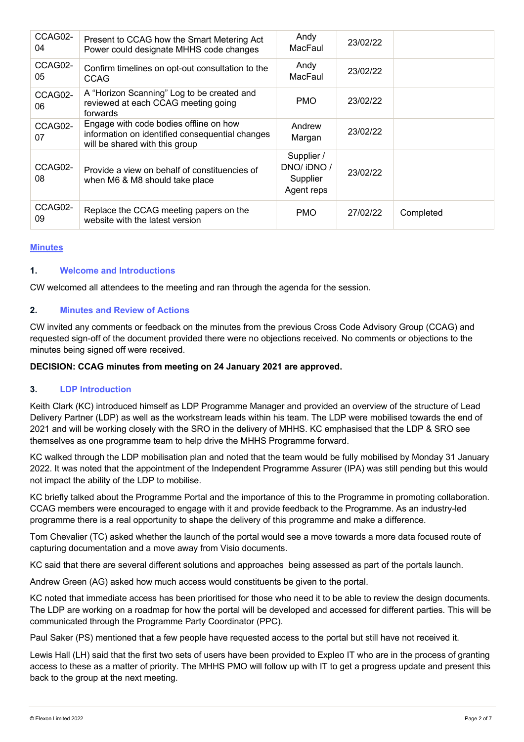| CCAG02-<br>04 | Present to CCAG how the Smart Metering Act<br>Power could designate MHHS code changes                                       | Andy<br>MacFaul                                   | 23/02/22 |           |
|---------------|-----------------------------------------------------------------------------------------------------------------------------|---------------------------------------------------|----------|-----------|
| CCAG02-<br>05 | Confirm timelines on opt-out consultation to the<br><b>CCAG</b>                                                             | Andy<br>MacFaul                                   | 23/02/22 |           |
| CCAG02-<br>06 | A "Horizon Scanning" Log to be created and<br>reviewed at each CCAG meeting going<br>forwards                               | <b>PMO</b>                                        | 23/02/22 |           |
| CCAG02-<br>07 | Engage with code bodies offline on how<br>information on identified consequential changes<br>will be shared with this group | Andrew<br>Margan                                  | 23/02/22 |           |
| CCAG02-<br>08 | Provide a view on behalf of constituencies of<br>when M6 & M8 should take place                                             | Supplier /<br>DNO/iDNO/<br>Supplier<br>Agent reps | 23/02/22 |           |
| CCAG02-<br>09 | Replace the CCAG meeting papers on the<br>website with the latest version                                                   | <b>PMO</b>                                        | 27/02/22 | Completed |

#### **Minutes**

#### **1. Welcome and Introductions**

CW welcomed all attendees to the meeting and ran through the agenda for the session.

#### **2. Minutes and Review of Actions**

CW invited any comments or feedback on the minutes from the previous Cross Code Advisory Group (CCAG) and requested sign-off of the document provided there were no objections received. No comments or objections to the minutes being signed off were received.

#### **DECISION: CCAG minutes from meeting on 24 January 2021 are approved.**

#### **3. LDP Introduction**

Keith Clark (KC) introduced himself as LDP Programme Manager and provided an overview of the structure of Lead Delivery Partner (LDP) as well as the workstream leads within his team. The LDP were mobilised towards the end of 2021 and will be working closely with the SRO in the delivery of MHHS. KC emphasised that the LDP & SRO see themselves as one programme team to help drive the MHHS Programme forward.

KC walked through the LDP mobilisation plan and noted that the team would be fully mobilised by Monday 31 January 2022. It was noted that the appointment of the Independent Programme Assurer (IPA) was still pending but this would not impact the ability of the LDP to mobilise.

KC briefly talked about the Programme Portal and the importance of this to the Programme in promoting collaboration. CCAG members were encouraged to engage with it and provide feedback to the Programme. As an industry-led programme there is a real opportunity to shape the delivery of this programme and make a difference.

Tom Chevalier (TC) asked whether the launch of the portal would see a move towards a more data focused route of capturing documentation and a move away from Visio documents.

KC said that there are several different solutions and approaches being assessed as part of the portals launch.

Andrew Green (AG) asked how much access would constituents be given to the portal.

KC noted that immediate access has been prioritised for those who need it to be able to review the design documents. The LDP are working on a roadmap for how the portal will be developed and accessed for different parties. This will be communicated through the Programme Party Coordinator (PPC).

Paul Saker (PS) mentioned that a few people have requested access to the portal but still have not received it.

Lewis Hall (LH) said that the first two sets of users have been provided to Expleo IT who are in the process of granting access to these as a matter of priority. The MHHS PMO will follow up with IT to get a progress update and present this back to the group at the next meeting.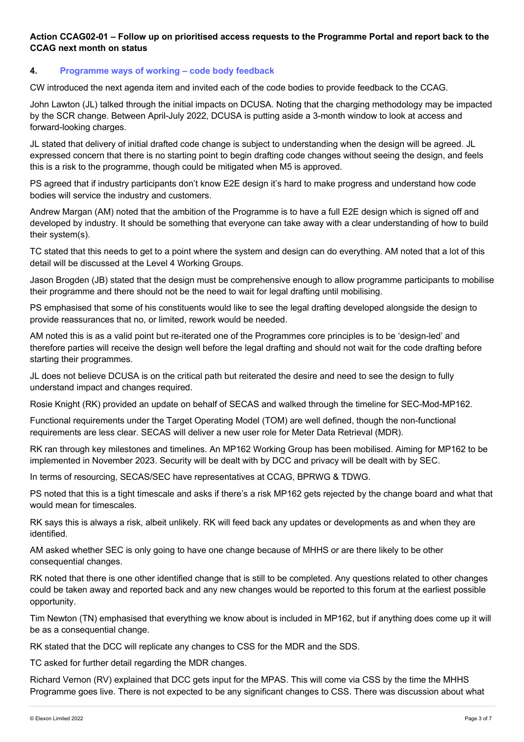# **Action CCAG02-01 – Follow up on prioritised access requests to the Programme Portal and report back to the CCAG next month on status**

## **4. Programme ways of working – code body feedback**

CW introduced the next agenda item and invited each of the code bodies to provide feedback to the CCAG.

John Lawton (JL) talked through the initial impacts on DCUSA. Noting that the charging methodology may be impacted by the SCR change. Between April-July 2022, DCUSA is putting aside a 3-month window to look at access and forward-looking charges.

JL stated that delivery of initial drafted code change is subject to understanding when the design will be agreed. JL expressed concern that there is no starting point to begin drafting code changes without seeing the design, and feels this is a risk to the programme, though could be mitigated when M5 is approved.

PS agreed that if industry participants don't know E2E design it's hard to make progress and understand how code bodies will service the industry and customers.

Andrew Margan (AM) noted that the ambition of the Programme is to have a full E2E design which is signed off and developed by industry. It should be something that everyone can take away with a clear understanding of how to build their system(s).

TC stated that this needs to get to a point where the system and design can do everything. AM noted that a lot of this detail will be discussed at the Level 4 Working Groups.

Jason Brogden (JB) stated that the design must be comprehensive enough to allow programme participants to mobilise their programme and there should not be the need to wait for legal drafting until mobilising.

PS emphasised that some of his constituents would like to see the legal drafting developed alongside the design to provide reassurances that no, or limited, rework would be needed.

AM noted this is as a valid point but re-iterated one of the Programmes core principles is to be 'design-led' and therefore parties will receive the design well before the legal drafting and should not wait for the code drafting before starting their programmes.

JL does not believe DCUSA is on the critical path but reiterated the desire and need to see the design to fully understand impact and changes required.

Rosie Knight (RK) provided an update on behalf of SECAS and walked through the timeline for SEC-Mod-MP162.

Functional requirements under the Target Operating Model (TOM) are well defined, though the non-functional requirements are less clear. SECAS will deliver a new user role for Meter Data Retrieval (MDR).

RK ran through key milestones and timelines. An MP162 Working Group has been mobilised. Aiming for MP162 to be implemented in November 2023. Security will be dealt with by DCC and privacy will be dealt with by SEC.

In terms of resourcing, SECAS/SEC have representatives at CCAG, BPRWG & TDWG.

PS noted that this is a tight timescale and asks if there's a risk MP162 gets rejected by the change board and what that would mean for timescales.

RK says this is always a risk, albeit unlikely. RK will feed back any updates or developments as and when they are identified.

AM asked whether SEC is only going to have one change because of MHHS or are there likely to be other consequential changes.

RK noted that there is one other identified change that is still to be completed. Any questions related to other changes could be taken away and reported back and any new changes would be reported to this forum at the earliest possible opportunity.

Tim Newton (TN) emphasised that everything we know about is included in MP162, but if anything does come up it will be as a consequential change.

RK stated that the DCC will replicate any changes to CSS for the MDR and the SDS.

TC asked for further detail regarding the MDR changes.

Richard Vernon (RV) explained that DCC gets input for the MPAS. This will come via CSS by the time the MHHS Programme goes live. There is not expected to be any significant changes to CSS. There was discussion about what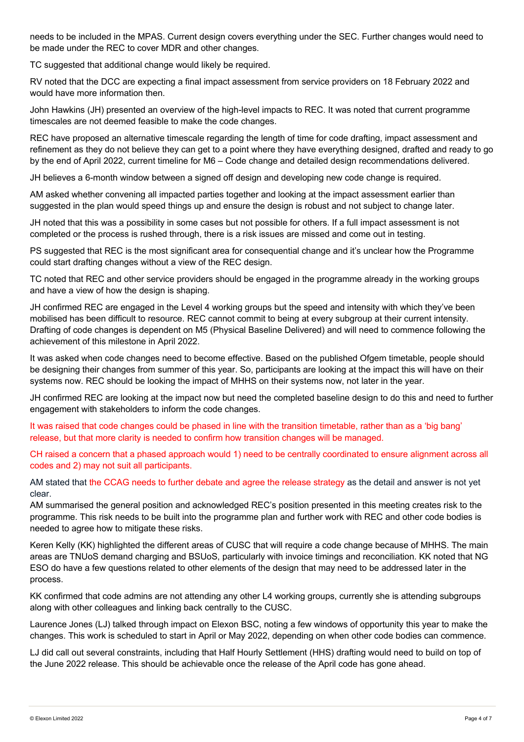needs to be included in the MPAS. Current design covers everything under the SEC. Further changes would need to be made under the REC to cover MDR and other changes.

TC suggested that additional change would likely be required.

RV noted that the DCC are expecting a final impact assessment from service providers on 18 February 2022 and would have more information then.

John Hawkins (JH) presented an overview of the high-level impacts to REC. It was noted that current programme timescales are not deemed feasible to make the code changes.

REC have proposed an alternative timescale regarding the length of time for code drafting, impact assessment and refinement as they do not believe they can get to a point where they have everything designed, drafted and ready to go by the end of April 2022, current timeline for M6 – Code change and detailed design recommendations delivered.

JH believes a 6-month window between a signed off design and developing new code change is required.

AM asked whether convening all impacted parties together and looking at the impact assessment earlier than suggested in the plan would speed things up and ensure the design is robust and not subject to change later.

JH noted that this was a possibility in some cases but not possible for others. If a full impact assessment is not completed or the process is rushed through, there is a risk issues are missed and come out in testing.

PS suggested that REC is the most significant area for consequential change and it's unclear how the Programme could start drafting changes without a view of the REC design.

TC noted that REC and other service providers should be engaged in the programme already in the working groups and have a view of how the design is shaping.

JH confirmed REC are engaged in the Level 4 working groups but the speed and intensity with which they've been mobilised has been difficult to resource. REC cannot commit to being at every subgroup at their current intensity. Drafting of code changes is dependent on M5 (Physical Baseline Delivered) and will need to commence following the achievement of this milestone in April 2022.

It was asked when code changes need to become effective. Based on the published Ofgem timetable, people should be designing their changes from summer of this year. So, participants are looking at the impact this will have on their systems now. REC should be looking the impact of MHHS on their systems now, not later in the year.

JH confirmed REC are looking at the impact now but need the completed baseline design to do this and need to further engagement with stakeholders to inform the code changes.

It was raised that code changes could be phased in line with the transition timetable, rather than as a 'big bang' release, but that more clarity is needed to confirm how transition changes will be managed.

CH raised a concern that a phased approach would 1) need to be centrally coordinated to ensure alignment across all codes and 2) may not suit all participants.

AM stated that the CCAG needs to further debate and agree the release strategy as the detail and answer is not yet clear.

AM summarised the general position and acknowledged REC's position presented in this meeting creates risk to the programme. This risk needs to be built into the programme plan and further work with REC and other code bodies is needed to agree how to mitigate these risks.

Keren Kelly (KK) highlighted the different areas of CUSC that will require a code change because of MHHS. The main areas are TNUoS demand charging and BSUoS, particularly with invoice timings and reconciliation. KK noted that NG ESO do have a few questions related to other elements of the design that may need to be addressed later in the process.

KK confirmed that code admins are not attending any other L4 working groups, currently she is attending subgroups along with other colleagues and linking back centrally to the CUSC.

Laurence Jones (LJ) talked through impact on Elexon BSC, noting a few windows of opportunity this year to make the changes. This work is scheduled to start in April or May 2022, depending on when other code bodies can commence.

LJ did call out several constraints, including that Half Hourly Settlement (HHS) drafting would need to build on top of the June 2022 release. This should be achievable once the release of the April code has gone ahead.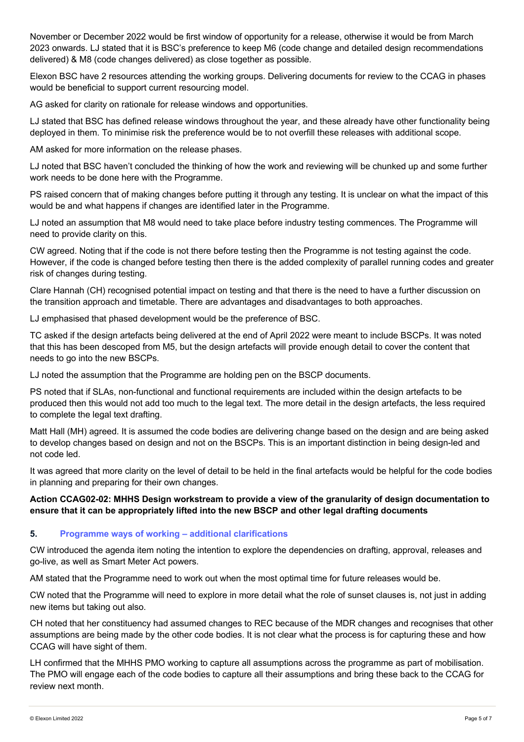November or December 2022 would be first window of opportunity for a release, otherwise it would be from March 2023 onwards. LJ stated that it is BSC's preference to keep M6 (code change and detailed design recommendations delivered) & M8 (code changes delivered) as close together as possible.

Elexon BSC have 2 resources attending the working groups. Delivering documents for review to the CCAG in phases would be beneficial to support current resourcing model.

AG asked for clarity on rationale for release windows and opportunities.

LJ stated that BSC has defined release windows throughout the year, and these already have other functionality being deployed in them. To minimise risk the preference would be to not overfill these releases with additional scope.

AM asked for more information on the release phases.

LJ noted that BSC haven't concluded the thinking of how the work and reviewing will be chunked up and some further work needs to be done here with the Programme.

PS raised concern that of making changes before putting it through any testing. It is unclear on what the impact of this would be and what happens if changes are identified later in the Programme.

LJ noted an assumption that M8 would need to take place before industry testing commences. The Programme will need to provide clarity on this.

CW agreed. Noting that if the code is not there before testing then the Programme is not testing against the code. However, if the code is changed before testing then there is the added complexity of parallel running codes and greater risk of changes during testing.

Clare Hannah (CH) recognised potential impact on testing and that there is the need to have a further discussion on the transition approach and timetable. There are advantages and disadvantages to both approaches.

LJ emphasised that phased development would be the preference of BSC.

TC asked if the design artefacts being delivered at the end of April 2022 were meant to include BSCPs. It was noted that this has been descoped from M5, but the design artefacts will provide enough detail to cover the content that needs to go into the new BSCPs.

LJ noted the assumption that the Programme are holding pen on the BSCP documents.

PS noted that if SLAs, non-functional and functional requirements are included within the design artefacts to be produced then this would not add too much to the legal text. The more detail in the design artefacts, the less required to complete the legal text drafting.

Matt Hall (MH) agreed. It is assumed the code bodies are delivering change based on the design and are being asked to develop changes based on design and not on the BSCPs. This is an important distinction in being design-led and not code led.

It was agreed that more clarity on the level of detail to be held in the final artefacts would be helpful for the code bodies in planning and preparing for their own changes.

## **Action CCAG02-02: MHHS Design workstream to provide a view of the granularity of design documentation to ensure that it can be appropriately lifted into the new BSCP and other legal drafting documents**

## **5. Programme ways of working – additional clarifications**

CW introduced the agenda item noting the intention to explore the dependencies on drafting, approval, releases and go-live, as well as Smart Meter Act powers.

AM stated that the Programme need to work out when the most optimal time for future releases would be.

CW noted that the Programme will need to explore in more detail what the role of sunset clauses is, not just in adding new items but taking out also.

CH noted that her constituency had assumed changes to REC because of the MDR changes and recognises that other assumptions are being made by the other code bodies. It is not clear what the process is for capturing these and how CCAG will have sight of them.

LH confirmed that the MHHS PMO working to capture all assumptions across the programme as part of mobilisation. The PMO will engage each of the code bodies to capture all their assumptions and bring these back to the CCAG for review next month.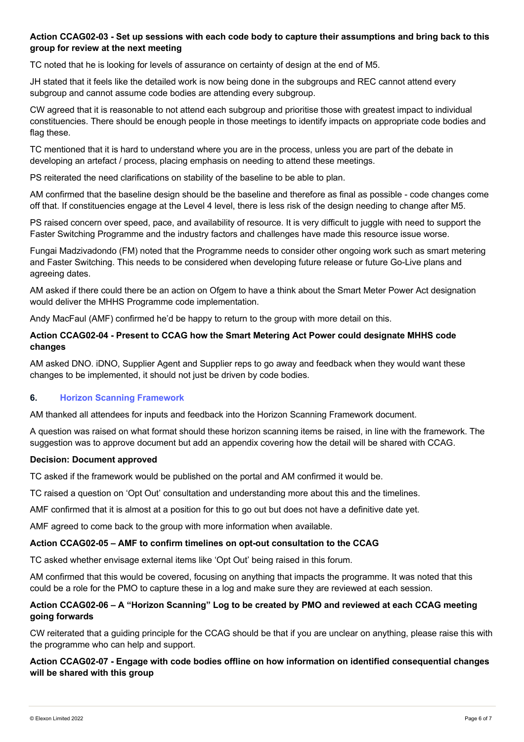# **Action CCAG02-03 - Set up sessions with each code body to capture their assumptions and bring back to this group for review at the next meeting**

TC noted that he is looking for levels of assurance on certainty of design at the end of M5.

JH stated that it feels like the detailed work is now being done in the subgroups and REC cannot attend every subgroup and cannot assume code bodies are attending every subgroup.

CW agreed that it is reasonable to not attend each subgroup and prioritise those with greatest impact to individual constituencies. There should be enough people in those meetings to identify impacts on appropriate code bodies and flag these.

TC mentioned that it is hard to understand where you are in the process, unless you are part of the debate in developing an artefact / process, placing emphasis on needing to attend these meetings.

PS reiterated the need clarifications on stability of the baseline to be able to plan.

AM confirmed that the baseline design should be the baseline and therefore as final as possible - code changes come off that. If constituencies engage at the Level 4 level, there is less risk of the design needing to change after M5.

PS raised concern over speed, pace, and availability of resource. It is very difficult to juggle with need to support the Faster Switching Programme and the industry factors and challenges have made this resource issue worse.

Fungai Madzivadondo (FM) noted that the Programme needs to consider other ongoing work such as smart metering and Faster Switching. This needs to be considered when developing future release or future Go-Live plans and agreeing dates.

AM asked if there could there be an action on Ofgem to have a think about the Smart Meter Power Act designation would deliver the MHHS Programme code implementation.

Andy MacFaul (AMF) confirmed he'd be happy to return to the group with more detail on this.

## **Action CCAG02-04 - Present to CCAG how the Smart Metering Act Power could designate MHHS code changes**

AM asked DNO. iDNO, Supplier Agent and Supplier reps to go away and feedback when they would want these changes to be implemented, it should not just be driven by code bodies.

## **6. Horizon Scanning Framework**

AM thanked all attendees for inputs and feedback into the Horizon Scanning Framework document.

A question was raised on what format should these horizon scanning items be raised, in line with the framework. The suggestion was to approve document but add an appendix covering how the detail will be shared with CCAG.

#### **Decision: Document approved**

TC asked if the framework would be published on the portal and AM confirmed it would be.

TC raised a question on 'Opt Out' consultation and understanding more about this and the timelines.

AMF confirmed that it is almost at a position for this to go out but does not have a definitive date yet.

AMF agreed to come back to the group with more information when available.

## **Action CCAG02-05 – AMF to confirm timelines on opt-out consultation to the CCAG**

TC asked whether envisage external items like 'Opt Out' being raised in this forum.

AM confirmed that this would be covered, focusing on anything that impacts the programme. It was noted that this could be a role for the PMO to capture these in a log and make sure they are reviewed at each session.

# **Action CCAG02-06 – A "Horizon Scanning" Log to be created by PMO and reviewed at each CCAG meeting going forwards**

CW reiterated that a guiding principle for the CCAG should be that if you are unclear on anything, please raise this with the programme who can help and support.

# **Action CCAG02-07 - Engage with code bodies offline on how information on identified consequential changes will be shared with this group**